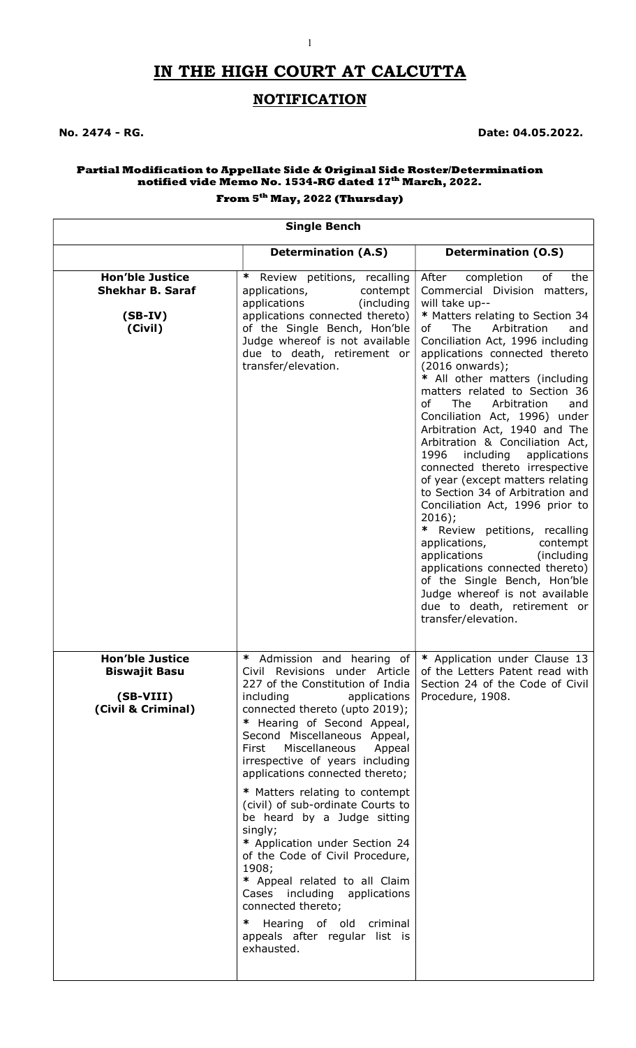# IN THE HIGH COURT AT CALCUTTA

1

## **NOTIFICATION**

No. 2474 - RG. Date: 04.05.2022.

#### Partial Modification to Appellate Side & Original Side Roster/Determination notified vide Memo No. 1534-RG dated 17<sup>th</sup> March, 2022.

### From 5th May, 2022 (Thursday)

#### Single Bench

|                                                                                   | <b>Determination (A.S)</b>                                                                                                                                                                                                                                                                                                                                                                                                                                                                                                                                                                                                                                                                                           | <b>Determination (O.S)</b>                                                                                                                                                                                                                                                                                                                                                                                                                                                                                                                                                                                                                                                                                                                                                                                                                                                                                         |
|-----------------------------------------------------------------------------------|----------------------------------------------------------------------------------------------------------------------------------------------------------------------------------------------------------------------------------------------------------------------------------------------------------------------------------------------------------------------------------------------------------------------------------------------------------------------------------------------------------------------------------------------------------------------------------------------------------------------------------------------------------------------------------------------------------------------|--------------------------------------------------------------------------------------------------------------------------------------------------------------------------------------------------------------------------------------------------------------------------------------------------------------------------------------------------------------------------------------------------------------------------------------------------------------------------------------------------------------------------------------------------------------------------------------------------------------------------------------------------------------------------------------------------------------------------------------------------------------------------------------------------------------------------------------------------------------------------------------------------------------------|
| <b>Hon'ble Justice</b><br><b>Shekhar B. Saraf</b><br>$(SB-IV)$<br>(Civil)         | ∗<br>Review petitions, recalling<br>applications,<br>contempt<br>applications<br>(including)<br>applications connected thereto)<br>of the Single Bench, Hon'ble<br>Judge whereof is not available<br>due to death, retirement or<br>transfer/elevation.                                                                                                                                                                                                                                                                                                                                                                                                                                                              | After<br>completion<br>оf<br>the<br>Commercial Division matters,<br>will take up--<br>* Matters relating to Section 34<br>The<br>Arbitration<br>of<br>and<br>Conciliation Act, 1996 including<br>applications connected thereto<br>(2016 onwards);<br>* All other matters (including<br>matters related to Section 36<br>of<br>The<br>Arbitration<br>and<br>Conciliation Act, 1996) under<br>Arbitration Act, 1940 and The<br>Arbitration & Conciliation Act,<br>1996<br>including<br>applications<br>connected thereto irrespective<br>of year (except matters relating<br>to Section 34 of Arbitration and<br>Conciliation Act, 1996 prior to<br>$2016$ ;<br>* Review petitions, recalling<br>applications,<br>contempt<br>applications<br>(including<br>applications connected thereto)<br>of the Single Bench, Hon'ble<br>Judge whereof is not available<br>due to death, retirement or<br>transfer/elevation. |
| <b>Hon'ble Justice</b><br><b>Biswajit Basu</b><br>(SB-VIII)<br>(Civil & Criminal) | $\ast$<br>Admission and hearing of<br>Civil Revisions under Article<br>227 of the Constitution of India<br>including<br>applications<br>connected thereto (upto 2019);<br>* Hearing of Second Appeal,<br>Second Miscellaneous Appeal,<br>Miscellaneous<br>First<br>Appeal<br>irrespective of years including<br>applications connected thereto;<br>* Matters relating to contempt<br>(civil) of sub-ordinate Courts to<br>be heard by a Judge sitting<br>singly;<br>* Application under Section 24<br>of the Code of Civil Procedure,<br>1908;<br>* Appeal related to all Claim<br>Cases including applications<br>connected thereto;<br>Hearing of old criminal<br>∗<br>appeals after regular list is<br>exhausted. | * Application under Clause 13<br>of the Letters Patent read with<br>Section 24 of the Code of Civil<br>Procedure, 1908.                                                                                                                                                                                                                                                                                                                                                                                                                                                                                                                                                                                                                                                                                                                                                                                            |